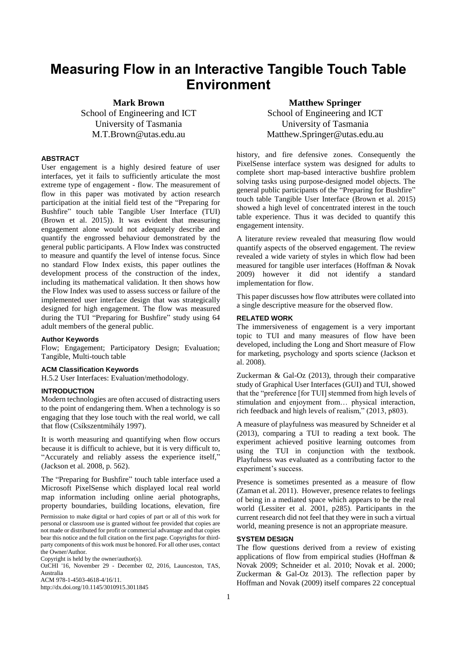# **Measuring Flow in an Interactive Tangible Touch Table Environment**

**Mark Brown** School of Engineering and ICT University of Tasmania M.T.Brown@utas.edu.au

## **ABSTRACT**

User engagement is a highly desired feature of user interfaces, yet it fails to sufficiently articulate the most extreme type of engagement - flow. The measurement of flow in this paper was motivated by action research participation at the initial field test of the "Preparing for Bushfire" touch table Tangible User Interface (TUI) (Brown et al. 2015)). It was evident that measuring engagement alone would not adequately describe and quantify the engrossed behaviour demonstrated by the general public participants. A Flow Index was constructed to measure and quantify the level of intense focus. Since no standard Flow Index exists, this paper outlines the development process of the construction of the index, including its mathematical validation. It then shows how the Flow Index was used to assess success or failure of the implemented user interface design that was strategically designed for high engagement. The flow was measured during the TUI "Preparing for Bushfire" study using 64 adult members of the general public.

#### **Author Keywords**

Flow; Engagement; Participatory Design; Evaluation; Tangible, Multi-touch table

# **ACM Classification Keywords**

H.5.2 User Interfaces: Evaluation/methodology.

## **INTRODUCTION**

Modern technologies are often accused of distracting users to the point of endangering them. When a technology is so engaging that they lose touch with the real world, we call that flow (Csíkszentmihály 1997).

It is worth measuring and quantifying when flow occurs because it is difficult to achieve, but it is very difficult to, "Accurately and reliably assess the experience itself," (Jackson et al. 2008, p. 562).

The "Preparing for Bushfire" touch table interface used a Microsoft PixelSense which displayed local real world map information including online aerial photographs, property boundaries, building locations, elevation, fire

Permission to make digital or hard copies of part or all of this work for personal or classroom use is granted without fee provided that copies are not made or distributed for profit or commercial advantage and that copies bear this notice and the full citation on the first page. Copyrights for thirdparty components of this work must be honored. For all other uses, contact the Owner/Author.

Copyright is held by the owner/author(s).

OzCHI '16, November 29 - December 02, 2016, Launceston, TAS, Australia

ACM 978-1-4503-4618-4/16/11.

http://dx.doi.org/10.1145/3010915.3011845

**Matthew Springer** School of Engineering and ICT University of Tasmania Matthew.Springer@utas.edu.au

history, and fire defensive zones. Consequently the PixelSense interface system was designed for adults to complete short map-based interactive bushfire problem solving tasks using purpose-designed model objects. The general public participants of the "Preparing for Bushfire" touch table Tangible User Interface (Brown et al. 2015) showed a high level of concentrated interest in the touch table experience. Thus it was decided to quantify this engagement intensity.

A literature review revealed that measuring flow would quantify aspects of the observed engagement. The review revealed a wide variety of styles in which flow had been measured for tangible user interfaces (Hoffman & Novak 2009) however it did not identify a standard implementation for flow.

This paper discusses how flow attributes were collated into a single descriptive measure for the observed flow.

### **RELATED WORK**

The immersiveness of engagement is a very important topic to TUI and many measures of flow have been developed, including the Long and Short measure of Flow for marketing, psychology and sports science (Jackson et al. 2008).

Zuckerman & Gal-Oz (2013), through their comparative study of Graphical User Interfaces (GUI) and TUI, showed that the "preference [for TUI] stemmed from high levels of stimulation and enjoyment from… physical interaction, rich feedback and high levels of realism," (2013, p803).

A measure of playfulness was measured by Schneider et al (2013), comparing a TUI to reading a text book. The experiment achieved positive learning outcomes from using the TUI in conjunction with the textbook. Playfulness was evaluated as a contributing factor to the experiment's success.

Presence is sometimes presented as a measure of flow (Zaman et al. 2011). However, presence relates to feelings of being in a mediated space which appears to be the real world (Lessiter et al. 2001, p285). Participants in the current research did not feel that they were in such a virtual world, meaning presence is not an appropriate measure.

#### **SYSTEM DESIGN**

The flow questions derived from a review of existing applications of flow from empirical studies (Hoffman & Novak 2009; Schneider et al. 2010; Novak et al. 2000; Zuckerman & Gal-Oz 2013). The reflection paper by Hoffman and Novak (2009) itself compares 22 conceptual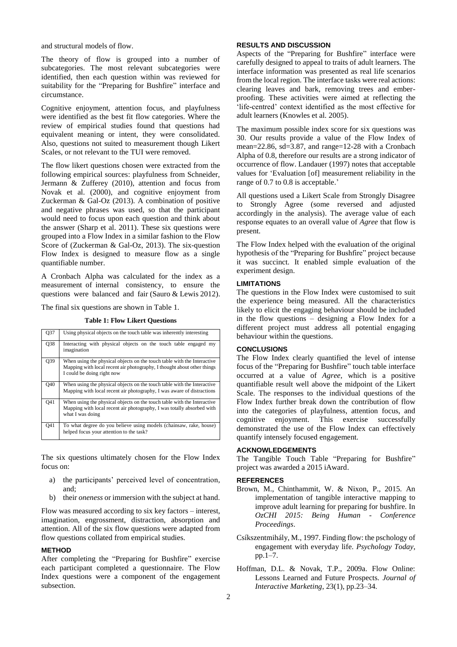and structural models of flow.

The theory of flow is grouped into a number of subcategories. The most relevant subcategories were identified, then each question within was reviewed for suitability for the "Preparing for Bushfire" interface and circumstance.

Cognitive enjoyment, attention focus, and playfulness were identified as the best fit flow categories. Where the review of empirical studies found that questions had equivalent meaning or intent, they were consolidated. Also, questions not suited to measurement though Likert Scales, or not relevant to the TUI were removed.

The flow likert questions chosen were extracted from the following empirical sources: playfulness from Schneider, Jermann & Zufferey (2010), attention and focus from Novak et al. (2000), and cognitive enjoyment from Zuckerman & Gal-Oz (2013). A combination of positive and negative phrases was used, so that the participant would need to focus upon each question and think about the answer (Sharp et al. 2011). These six questions were grouped into a Flow Index in a similar fashion to the Flow Score of (Zuckerman & Gal-Oz, 2013). The six-question Flow Index is designed to measure flow as a single quantifiable number.

A Cronbach Alpha was calculated for the index as a measurement of internal consistency, to ensure the questions were balanced and fair (Sauro & Lewis 2012).

The final six questions are shown in [Table 1.](#page-1-0)

**Table 1: Flow Likert Questions**

<span id="page-1-0"></span>

| Q37        | Using physical objects on the touch table was inherently interesting                                                                                                             |
|------------|----------------------------------------------------------------------------------------------------------------------------------------------------------------------------------|
| Q38        | Interacting with physical objects on the touch table engaged my<br>imagination                                                                                                   |
| Q39        | When using the physical objects on the touch table with the Interactive<br>Mapping with local recent air photography, I thought about other things<br>I could be doing right now |
| Q40        | When using the physical objects on the touch table with the Interactive<br>Mapping with local recent air photography, I was aware of distractions                                |
| <b>041</b> | When using the physical objects on the touch table with the Interactive<br>Mapping with local recent air photography, I was totally absorbed with<br>what I was doing            |
| O41        | To what degree do you believe using models (chainsaw, rake, house)<br>helped focus your attention to the task?                                                                   |

The six questions ultimately chosen for the Flow Index focus on:

- a) the participants' perceived level of concentration, and;
- b) their *oneness* or immersion with the subject at hand.

Flow was measured according to six key factors – interest, imagination, engrossment, distraction, absorption and attention. All of the six flow questions were adapted from flow questions collated from empirical studies.

### **METHOD**

After completing the "Preparing for Bushfire" exercise each participant completed a questionnaire. The Flow Index questions were a component of the engagement subsection.

## **RESULTS AND DISCUSSION**

Aspects of the "Preparing for Bushfire" interface were carefully designed to appeal to traits of adult learners. The interface information was presented as real life scenarios from the local region. The interface tasks were real actions: clearing leaves and bark, removing trees and emberproofing. These activities were aimed at reflecting the 'life-centred' context identified as the most effective for adult learners (Knowles et al. 2005).

The maximum possible index score for six questions was 30. Our results provide a value of the Flow Index of mean=22.86, sd=3.87, and range=12-28 with a Cronbach Alpha of 0.8, therefore our results are a strong indicator of occurrence of flow. Landauer (1997) notes that acceptable values for 'Evaluation [of] measurement reliability in the range of 0.7 to 0.8 is acceptable.'

All questions used a Likert Scale from Strongly Disagree to Strongly Agree (some reversed and adjusted accordingly in the analysis). The average value of each response equates to an overall value of *Agree* that flow is present.

The Flow Index helped with the evaluation of the original hypothesis of the "Preparing for Bushfire" project because it was succinct. It enabled simple evaluation of the experiment design.

## **LIMITATIONS**

The questions in the Flow Index were customised to suit the experience being measured. All the characteristics likely to elicit the engaging behaviour should be included in the flow questions – designing a Flow Index for a different project must address all potential engaging behaviour within the questions.

## **CONCLUSIONS**

The Flow Index clearly quantified the level of intense focus of the "Preparing for Bushfire" touch table interface occurred at a value of *Agree*, which is a positive quantifiable result well above the midpoint of the Likert Scale. The responses to the individual questions of the Flow Index further break down the contribution of flow into the categories of playfulness, attention focus, and cognitive enjoyment. This exercise successfully demonstrated the use of the Flow Index can effectively quantify intensely focused engagement.

# **ACKNOWLEDGEMENTS**

The Tangible Touch Table "Preparing for Bushfire" project was awarded a 2015 iAward.

#### **REFERENCES**

- Brown, M., Chinthammit, W. & Nixon, P., 2015. An implementation of tangible interactive mapping to improve adult learning for preparing for bushfire. In *OzCHI 2015: Being Human - Conference Proceedings*.
- Csíkszentmihály, M., 1997. Finding flow: the pschology of engagement with everyday life. *Psychology Today*, pp.1–7.
- Hoffman, D.L. & Novak, T.P., 2009a. Flow Online: Lessons Learned and Future Prospects. *Journal of Interactive Marketing*, 23(1), pp.23–34.